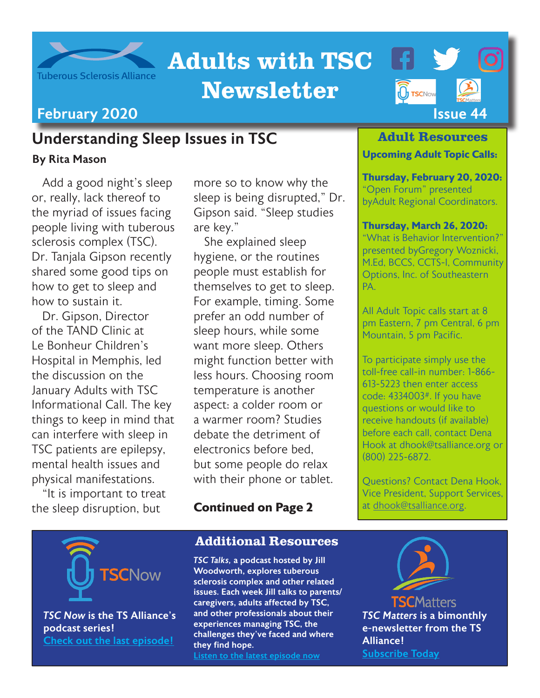

# Adults with TSC

# Newsletter

## Understanding Sleep Issues in TSC

#### By Rita Mason

Add a good night's sleep or, really, lack thereof to the myriad of issues facing people living with tuberous sclerosis complex (TSC). Dr. Tanjala Gipson recently shared some good tips on how to get to sleep and how to sustain it.

Dr. Gipson, Director of the TAND Clinic at Le Bonheur Children's Hospital in Memphis, led the discussion on the January Adults with TSC Informational Call. The key things to keep in mind that can interfere with sleep in TSC patients are epilepsy, mental health issues and physical manifestations.

"It is important to treat the sleep disruption, but

more so to know why the sleep is being disrupted," Dr. Gipson said. "Sleep studies are key."

She explained sleep hygiene, or the routines people must establish for themselves to get to sleep. For example, timing. Some prefer an odd number of sleep hours, while some want more sleep. Others might function better with less hours. Choosing room temperature is another aspect: a colder room or a warmer room? Studies debate the detriment of electronics before bed, but some people do relax with their phone or tablet.

### **Continued on Page 2**

### Additional Resources

*TSC Talks,* a podcast hosted by Jill Woodworth, explores tuberous sclerosis complex and other related issues. Each week Jill talks to parents/ caregivers, adults affected by TSC, and other professionals about their experiences managing TSC, the challenges they've faced and where they find hope. [Listen to the latest episode now](http://tsctalks.com/)



#### Adult Resources

#### **Upcoming Adult Topic Calls:**

**Thursday, February 20, 2020:** "Open Forum" presented byAdult Regional Coordinators.

#### **Thursday, March 26, 2020:**

"What is Behavior Intervention?" presented byGregory Woznicki, M.Ed, BCCS, CCTS-I, Community Options, Inc. of Southeastern PA.

All Adult Topic calls start at 8 pm Eastern, 7 pm Central, 6 pm Mountain, 5 pm Pacific.

To participate simply use the toll-free call-in number: 1-866- 613-5223 then enter access code: 4334003#. If you have questions or would like to receive handouts (if available) before each call, contact Dena Hook at dhook@tsalliance.org or (800) 225-6872.

Questions? Contact Dena Hook, Vice President, Support Services, at [dhook@tsalliance.org.](mailto:dhook%40tsalliance.org?subject=)



*TSC Now* is the TS Alliance's podcast series! [Check out the last episode!](https://tsc-now.blubrry.net/)